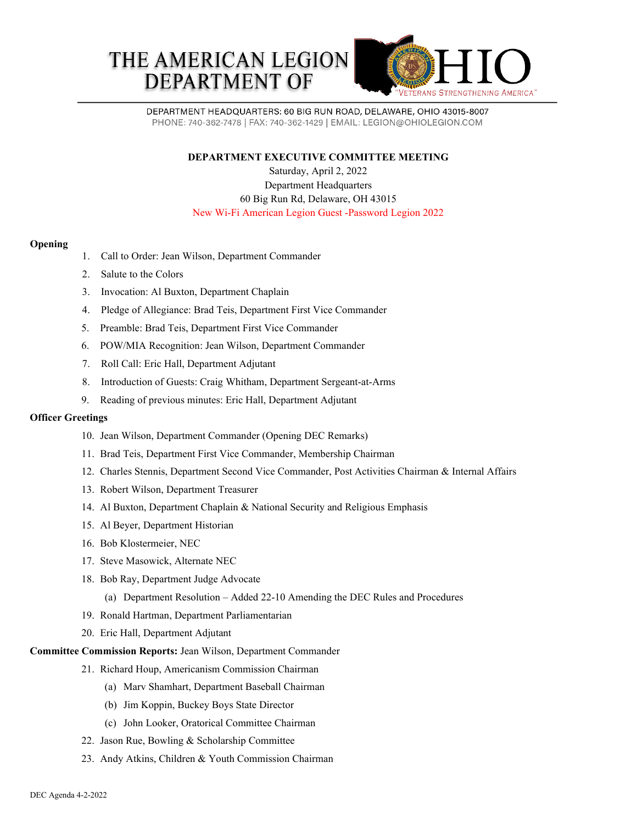



DEPARTMENT HEADQUARTERS: 60 BIG RUN ROAD, DELAWARE, OHIO 43015-8007 PHONE: 740-362-7478 | FAX: 740-362-1429 | EMAIL: LEGION@OHIOLEGION.COM

**DEPARTMENT EXECUTIVE COMMITTEE MEETING**

Saturday, April 2, 2022 Department Headquarters 60 Big Run Rd, Delaware, OH 43015 New Wi-Fi American Legion Guest -Password Legion 2022

## **Opening**

- 1. Call to Order: Jean Wilson, Department Commander
- 2. Salute to the Colors
- 3. Invocation: Al Buxton, Department Chaplain
- 4. Pledge of Allegiance: Brad Teis, Department First Vice Commander
- 5. Preamble: Brad Teis, Department First Vice Commander
- 6. POW/MIA Recognition: Jean Wilson, Department Commander
- 7. Roll Call: Eric Hall, Department Adjutant
- 8. Introduction of Guests: Craig Whitham, Department Sergeant-at-Arms
- 9. Reading of previous minutes: Eric Hall, Department Adjutant

### **Officer Greetings**

- 10. Jean Wilson, Department Commander (Opening DEC Remarks)
- 11. Brad Teis, Department First Vice Commander, Membership Chairman
- 12. Charles Stennis, Department Second Vice Commander, Post Activities Chairman & Internal Affairs
- 13. Robert Wilson, Department Treasurer
- 14. Al Buxton, Department Chaplain & National Security and Religious Emphasis
- 15. Al Beyer, Department Historian
- 16. Bob Klostermeier, NEC
- 17. Steve Masowick, Alternate NEC
- 18. Bob Ray, Department Judge Advocate
	- (a) Department Resolution Added 22-10 Amending the DEC Rules and Procedures
- 19. Ronald Hartman, Department Parliamentarian
- 20. Eric Hall, Department Adjutant

# **Committee Commission Reports:** Jean Wilson, Department Commander

- 21. Richard Houp, Americanism Commission Chairman
	- (a) Marv Shamhart, Department Baseball Chairman
	- (b) Jim Koppin, Buckey Boys State Director
	- (c) John Looker, Oratorical Committee Chairman
- 22. Jason Rue, Bowling & Scholarship Committee
- 23. Andy Atkins, Children & Youth Commission Chairman